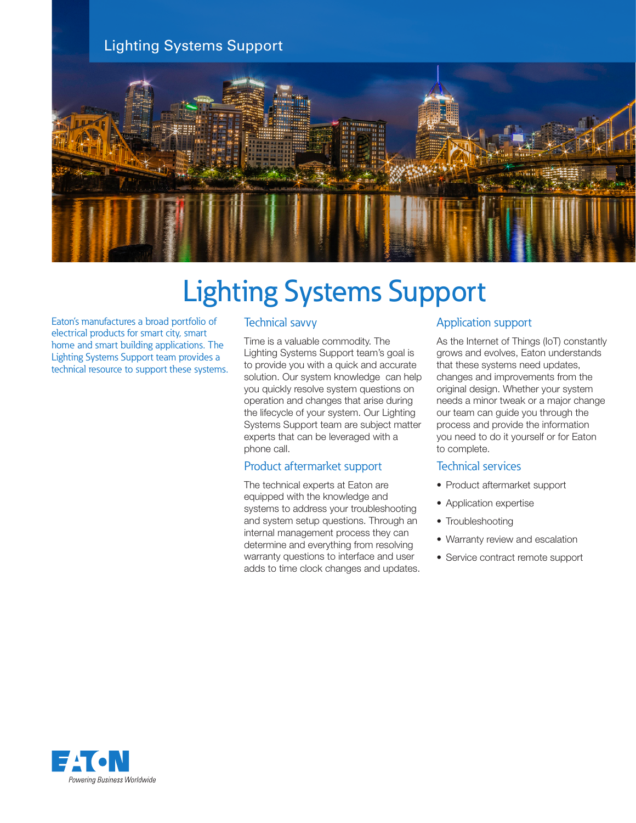# Lighting Systems Support



# Lighting Systems Support

Eaton's manufactures a broad portfolio of electrical products for smart city, smart home and smart building applications. The Lighting Systems Support team provides a technical resource to support these systems.

## Technical savvy

Time is a valuable commodity. The Lighting Systems Support team's goal is to provide you with a quick and accurate solution. Our system knowledge can help you quickly resolve system questions on operation and changes that arise during the lifecycle of your system. Our Lighting Systems Support team are subject matter experts that can be leveraged with a phone call.

### Product aftermarket support

The technical experts at Eaton are equipped with the knowledge and systems to address your troubleshooting and system setup questions. Through an internal management process they can determine and everything from resolving warranty questions to interface and user adds to time clock changes and updates.

### Application support

As the Internet of Things (IoT) constantly grows and evolves, Eaton understands that these systems need updates, changes and improvements from the original design. Whether your system needs a minor tweak or a major change our team can guide you through the process and provide the information you need to do it yourself or for Eaton to complete.

#### Technical services

- Product aftermarket support
- Application expertise
- Troubleshooting
- Warranty review and escalation
- Service contract remote support